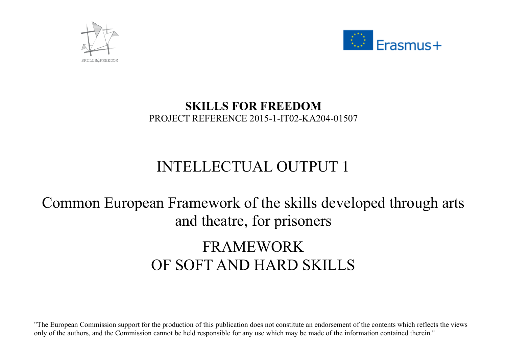



## **SKILLS FOR FREEDOM**  PROJECT REFERENCE 2015-1-IT02-KA204-01507

## INTELLECTUAL OUTPUT 1

## Common European Framework of the skills developed through arts and theatre, for prisoners

## FRAMEWORK OF SOFT AND HARD SKILLS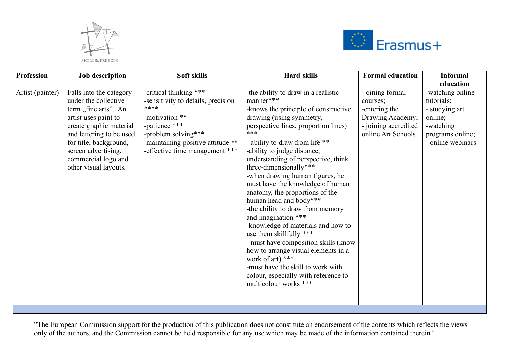



| <b>Profession</b> | <b>Job</b> description                                                                                                                                                                                                                                  | Soft skills                                                                                                                                                                                           | <b>Hard skills</b>                                                                                                                                                                                                                                                                                                                                                                                                                                                                                                                                                                                                                                                                                                                                                             | <b>Formal education</b>                                                                                        | <b>Informal</b>                                                                                                   |
|-------------------|---------------------------------------------------------------------------------------------------------------------------------------------------------------------------------------------------------------------------------------------------------|-------------------------------------------------------------------------------------------------------------------------------------------------------------------------------------------------------|--------------------------------------------------------------------------------------------------------------------------------------------------------------------------------------------------------------------------------------------------------------------------------------------------------------------------------------------------------------------------------------------------------------------------------------------------------------------------------------------------------------------------------------------------------------------------------------------------------------------------------------------------------------------------------------------------------------------------------------------------------------------------------|----------------------------------------------------------------------------------------------------------------|-------------------------------------------------------------------------------------------------------------------|
|                   |                                                                                                                                                                                                                                                         |                                                                                                                                                                                                       |                                                                                                                                                                                                                                                                                                                                                                                                                                                                                                                                                                                                                                                                                                                                                                                |                                                                                                                | education                                                                                                         |
| Artist (painter)  | Falls into the category<br>under the collective<br>term "fine arts". An<br>artist uses paint to<br>create graphic material<br>and lettering to be used<br>for title, background,<br>screen advertising,<br>commercial logo and<br>other visual layouts. | -critical thinking ***<br>-sensitivity to details, precision<br>****<br>-motivation **<br>-patience ***<br>-problem solving***<br>-maintaining positive attitude **<br>-effective time management *** | -the ability to draw in a realistic<br>manner***<br>-knows the principle of constructive<br>drawing (using symmetry,<br>perspective lines, proportion lines)<br>***<br>- ability to draw from life **<br>-ability to judge distance,<br>understanding of perspective, think<br>three-dimensionally***<br>-when drawing human figures, he<br>must have the knowledge of human<br>anatomy, the proportions of the<br>human head and body***<br>-the ability to draw from memory<br>and imagination ***<br>-knowledge of materials and how to<br>use them skillfully ***<br>- must have composition skills (know<br>how to arrange visual elements in a<br>work of art) ***<br>-must have the skill to work with<br>colour, especially with reference to<br>multicolour works *** | -joining formal<br>courses;<br>-entering the<br>Drawing Academy;<br>- joining accredited<br>online Art Schools | -watching online<br>tutorials;<br>- studying art<br>online;<br>-watching<br>programs online;<br>- online webinars |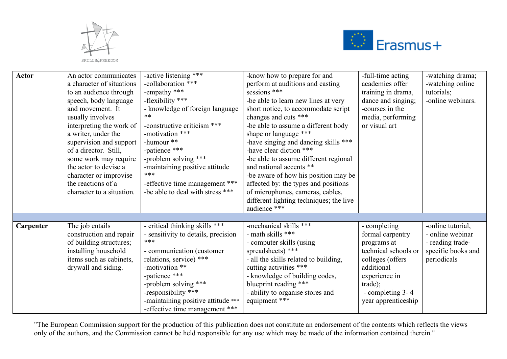



| Actor     | An actor communicates<br>a character of situations<br>to an audience through                                                                                                                                                                                                                        | -active listening ***<br>-collaboration ***<br>-empathy ***                                                                                                                                                                                                                                    | -know how to prepare for and<br>perform at auditions and casting<br>sessions ***                                                                                                                                                                                                                                                                                                                                                                                                         | -full-time acting<br>academies offer<br>training in drama,                                                                                                                       | -watching drama;<br>-watching online<br>tutorials;                                             |
|-----------|-----------------------------------------------------------------------------------------------------------------------------------------------------------------------------------------------------------------------------------------------------------------------------------------------------|------------------------------------------------------------------------------------------------------------------------------------------------------------------------------------------------------------------------------------------------------------------------------------------------|------------------------------------------------------------------------------------------------------------------------------------------------------------------------------------------------------------------------------------------------------------------------------------------------------------------------------------------------------------------------------------------------------------------------------------------------------------------------------------------|----------------------------------------------------------------------------------------------------------------------------------------------------------------------------------|------------------------------------------------------------------------------------------------|
|           | speech, body language<br>and movement. It<br>usually involves<br>interpreting the work of<br>a writer, under the<br>supervision and support<br>of a director. Still,<br>some work may require<br>the actor to devise a<br>character or improvise<br>the reactions of a<br>character to a situation. | -flexibility ***<br>- knowledge of foreign language<br>$***$<br>-constructive criticism ***<br>-motivation ***<br>-humour **<br>-patience ***<br>-problem solving ***<br>-maintaining positive attitude<br>***<br>-effective time management ***<br>-be able to deal with stress ***           | -be able to learn new lines at very<br>short notice, to accommodate script<br>changes and cuts ***<br>-be able to assume a different body<br>shape or language ***<br>-have singing and dancing skills ***<br>-have clear diction ***<br>-be able to assume different regional<br>and national accents **<br>-be aware of how his position may be<br>affected by: the types and positions<br>of microphones, cameras, cables,<br>different lighting techniques; the live<br>audience *** | dance and singing;<br>-courses in the<br>media, performing<br>or visual art                                                                                                      | -online webinars.                                                                              |
|           |                                                                                                                                                                                                                                                                                                     |                                                                                                                                                                                                                                                                                                |                                                                                                                                                                                                                                                                                                                                                                                                                                                                                          |                                                                                                                                                                                  |                                                                                                |
| Carpenter | The job entails<br>construction and repair<br>of building structures;<br>installing household<br>items such as cabinets,<br>drywall and siding.                                                                                                                                                     | - critical thinking skills ***<br>- sensitivity to details, precision<br>***<br>- communication (customer<br>relations, service) ***<br>-motivation **<br>-patience ***<br>-problem solving ***<br>-responsibility ***<br>-maintaining positive attitude ***<br>-effective time management *** | -mechanical skills ***<br>- math skills ***<br>- computer skills (using<br>spreadsheets) ***<br>- all the skills related to building,<br>cutting activities ***<br>- knowledge of building codes,<br>blueprint reading ***<br>- ability to organise stores and<br>equipment ***                                                                                                                                                                                                          | - completing<br>formal carpentry<br>programs at<br>technical schools or<br>colleges (offers<br>additional<br>experience in<br>trade);<br>- completing 3-4<br>year apprenticeship | -online tutorial,<br>- online webinar<br>- reading trade-<br>specific books and<br>periodicals |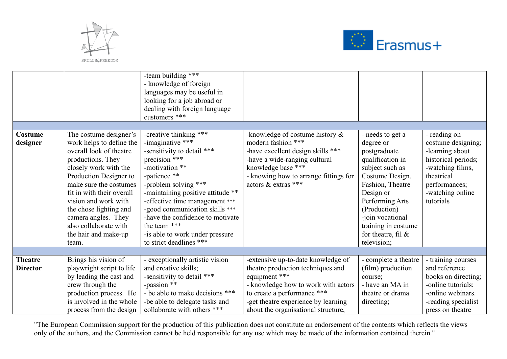



|                                   |                                                                                                                                                                                                                                                                                                                                                 | -team building ***<br>- knowledge of foreign<br>languages may be useful in<br>looking for a job abroad or<br>dealing with foreign language<br>customers ***                                                                                                                                                                                                                    |                                                                                                                                                                                                                      |                                                                                                                                                                                                                                                                |                                                                                                                                                                  |
|-----------------------------------|-------------------------------------------------------------------------------------------------------------------------------------------------------------------------------------------------------------------------------------------------------------------------------------------------------------------------------------------------|--------------------------------------------------------------------------------------------------------------------------------------------------------------------------------------------------------------------------------------------------------------------------------------------------------------------------------------------------------------------------------|----------------------------------------------------------------------------------------------------------------------------------------------------------------------------------------------------------------------|----------------------------------------------------------------------------------------------------------------------------------------------------------------------------------------------------------------------------------------------------------------|------------------------------------------------------------------------------------------------------------------------------------------------------------------|
|                                   |                                                                                                                                                                                                                                                                                                                                                 |                                                                                                                                                                                                                                                                                                                                                                                |                                                                                                                                                                                                                      |                                                                                                                                                                                                                                                                |                                                                                                                                                                  |
| Costume<br>designer               | The costume designer's<br>work helps to define the<br>overall look of theatre<br>productions. They<br>closely work with the<br>Production Designer to<br>make sure the costumes<br>fit in with their overall<br>vision and work with<br>the chose lighting and<br>camera angles. They<br>also collaborate with<br>the hair and make-up<br>team. | -creative thinking ***<br>-imaginative ***<br>-sensitivity to detail ***<br>precision ***<br>-motivation **<br>-patience **<br>-problem solving ***<br>-maintaining positive attitude **<br>-effective time management ***<br>-good communication skills ***<br>-have the confidence to motivate<br>the team ***<br>-is able to work under pressure<br>to strict deadlines *** | -knowledge of costume history $\&$<br>modern fashion ***<br>-have excellent design skills ***<br>-have a wide-ranging cultural<br>knowledge base ***<br>- knowing how to arrange fittings for<br>actors & extras *** | - needs to get a<br>degree or<br>postgraduate<br>qualification in<br>subject such as<br>Costume Design,<br>Fashion, Theatre<br>Design or<br>Performing Arts<br>(Production)<br>-join vocational<br>training in costume<br>for theatre, fil $\&$<br>television; | - reading on<br>costume designing;<br>-learning about<br>historical periods;<br>-watching films,<br>theatrical<br>performances;<br>-watching online<br>tutorials |
|                                   |                                                                                                                                                                                                                                                                                                                                                 |                                                                                                                                                                                                                                                                                                                                                                                |                                                                                                                                                                                                                      |                                                                                                                                                                                                                                                                |                                                                                                                                                                  |
| <b>Theatre</b><br><b>Director</b> | Brings his vision of<br>playwright script to life<br>by leading the cast and<br>crew through the<br>production process. He<br>is involved in the whole                                                                                                                                                                                          | - exceptionally artistic vision<br>and creative skills;<br>-sensitivity to detail ***<br>-passion **<br>- be able to make decisions ***<br>-be able to delegate tasks and                                                                                                                                                                                                      | -extensive up-to-date knowledge of<br>theatre production techniques and<br>equipment ***<br>- knowledge how to work with actors<br>to create a performance ***<br>-get theatre experience by learning                | - complete a theatre<br>(film) production<br>course;<br>- have an MA in<br>theatre or drama<br>directing;                                                                                                                                                      | - training courses<br>and reference<br>books on directing;<br>-online tutorials;<br>-online webinars.<br>-reading specialist                                     |
|                                   | process from the design                                                                                                                                                                                                                                                                                                                         | collaborate with others ***                                                                                                                                                                                                                                                                                                                                                    | about the organisational structure,                                                                                                                                                                                  |                                                                                                                                                                                                                                                                | press on theatre                                                                                                                                                 |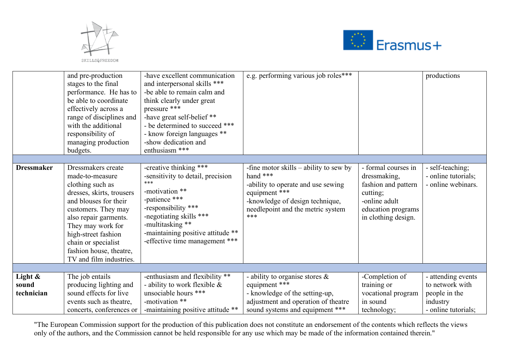



|                     | and pre-production<br>stages to the final<br>performance. He has to<br>be able to coordinate<br>effectively across a<br>range of disciplines and<br>with the additional<br>responsibility of<br>managing production<br>budgets.                                                          | -have excellent communication<br>and interpersonal skills ***<br>-be able to remain calm and<br>think clearly under great<br>pressure ***<br>-have great self-belief **<br>- be determined to succeed ***<br>- know foreign languages **<br>-show dedication and<br>enthusiasm *** | e.g. performing various job roles***                                                                                                                                                       |                                                                                                                                      | productions                                                   |
|---------------------|------------------------------------------------------------------------------------------------------------------------------------------------------------------------------------------------------------------------------------------------------------------------------------------|------------------------------------------------------------------------------------------------------------------------------------------------------------------------------------------------------------------------------------------------------------------------------------|--------------------------------------------------------------------------------------------------------------------------------------------------------------------------------------------|--------------------------------------------------------------------------------------------------------------------------------------|---------------------------------------------------------------|
| <b>Dressmaker</b>   | Dressmakers create<br>made-to-measure<br>clothing such as<br>dresses, skirts, trousers<br>and blouses for their<br>customers. They may<br>also repair garments.<br>They may work for<br>high-street fashion<br>chain or specialist<br>fashion house, theatre,<br>TV and film industries. | -creative thinking ***<br>-sensitivity to detail, precision<br>***<br>-motivation **<br>-patience ***<br>-responsibility ***<br>-negotiating skills ***<br>-multitasking **<br>-maintaining positive attitude **<br>-effective time management ***                                 | -fine motor skills $-$ ability to sew by<br>hand ***<br>-ability to operate and use sewing<br>equipment ***<br>-knowledge of design technique,<br>needlepoint and the metric system<br>*** | - formal courses in<br>dressmaking,<br>fashion and pattern<br>cutting;<br>-online adult<br>education programs<br>in clothing design. | - self-teaching;<br>- online tutorials;<br>- online webinars. |
|                     |                                                                                                                                                                                                                                                                                          |                                                                                                                                                                                                                                                                                    |                                                                                                                                                                                            |                                                                                                                                      |                                                               |
| Light &             | The job entails                                                                                                                                                                                                                                                                          | -enthusiasm and flexibility **                                                                                                                                                                                                                                                     | - ability to organise stores $\&$<br>equipment ***                                                                                                                                         | -Completion of                                                                                                                       | - attending events<br>to network with                         |
| sound<br>technician | producing lighting and<br>sound effects for live                                                                                                                                                                                                                                         | - ability to work flexible $\&$<br>unsociable hours ***                                                                                                                                                                                                                            | - knowledge of the setting-up,                                                                                                                                                             | training or<br>vocational program                                                                                                    | people in the                                                 |
|                     | events such as theatre,                                                                                                                                                                                                                                                                  | -motivation **                                                                                                                                                                                                                                                                     | adjustment and operation of theatre                                                                                                                                                        | in sound                                                                                                                             | industry                                                      |
|                     | concerts, conferences or                                                                                                                                                                                                                                                                 | -maintaining positive attitude **                                                                                                                                                                                                                                                  | sound systems and equipment ***                                                                                                                                                            | technology;                                                                                                                          | - online tutorials;                                           |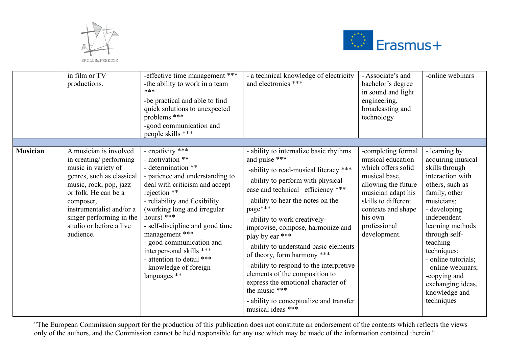



| in film or TV<br>productions.             |                                                                                                                                                                                                                                            | -effective time management ***<br>-the ability to work in a team<br>***<br>-be practical and able to find<br>quick solutions to unexpected<br>problems ***<br>-good communication and<br>people skills ***                                                                                                                                                                                                       | - a technical knowledge of electricity<br>and electronics ***                                                                                                                                                                                                                                                                                                                                                                                                                                                                                                                                       | - Associate's and<br>bachelor's degree<br>in sound and light<br>engineering,<br>broadcasting and<br>technology                                                                                                      | -online webinars                                                                                                                                                                                                                                                                                                                           |
|-------------------------------------------|--------------------------------------------------------------------------------------------------------------------------------------------------------------------------------------------------------------------------------------------|------------------------------------------------------------------------------------------------------------------------------------------------------------------------------------------------------------------------------------------------------------------------------------------------------------------------------------------------------------------------------------------------------------------|-----------------------------------------------------------------------------------------------------------------------------------------------------------------------------------------------------------------------------------------------------------------------------------------------------------------------------------------------------------------------------------------------------------------------------------------------------------------------------------------------------------------------------------------------------------------------------------------------------|---------------------------------------------------------------------------------------------------------------------------------------------------------------------------------------------------------------------|--------------------------------------------------------------------------------------------------------------------------------------------------------------------------------------------------------------------------------------------------------------------------------------------------------------------------------------------|
| <b>Musician</b><br>composer,<br>audience. | A musician is involved<br>in creating/ performing<br>music in variety of<br>genres, such as classical<br>music, rock, pop, jazz<br>or folk. He can be a<br>instrumentalist and/or a<br>singer performing in the<br>studio or before a live | - creativity ***<br>- motivation **<br>- determination **<br>- patience and understanding to<br>deal with criticism and accept<br>rejection **<br>- reliability and flexibility<br>(working long and irregular<br>hours) ***<br>- self-discipline and good time<br>management ***<br>- good communication and<br>interpersonal skills ***<br>- attention to detail ***<br>- knowledge of foreign<br>languages ** | - ability to internalize basic rhythms<br>and pulse ***<br>-ability to read-musical literacy ***<br>- ability to perform with physical<br>ease and technical efficiency ***<br>- ability to hear the notes on the<br>page***<br>- ability to work creatively-<br>improvise, compose, harmonize and<br>play by ear ***<br>- ability to understand basic elements<br>of theory, form harmony ***<br>- ability to respond to the interpretive<br>elements of the composition to<br>express the emotional character of<br>the music ***<br>- ability to conceptualize and transfer<br>musical ideas *** | -completing formal<br>musical education<br>which offers solid<br>musical base,<br>allowing the future<br>musician adapt his<br>skills to different<br>contexts and shape<br>his own<br>professional<br>development. | - learning by<br>acquiring musical<br>skills through<br>interaction with<br>others, such as<br>family, other<br>musicians;<br>- developing<br>independent<br>learning methods<br>through self-<br>teaching<br>techniques;<br>- online tutorials;<br>- online webinars;<br>-copying and<br>exchanging ideas,<br>knowledge and<br>techniques |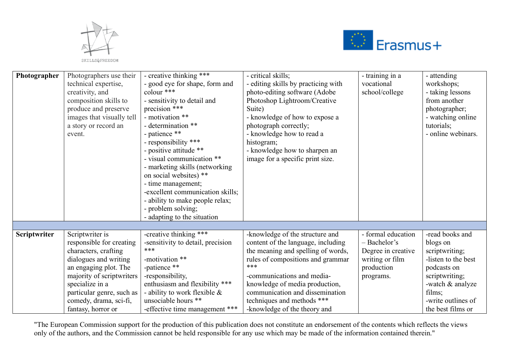



| Photographer | Photographers use their<br>technical expertise,<br>creativity, and<br>composition skills to<br>produce and preserve<br>images that visually tell<br>a story or record an<br>event. | - creative thinking ***<br>- good eye for shape, form and<br>colour ***<br>- sensitivity to detail and<br>precision ***<br>- motivation **<br>- determination **<br>- patience **<br>- responsibility ***<br>- positive attitude **<br>- visual communication **<br>- marketing skills (networking)<br>on social websites) **<br>- time management;<br>-excellent communication skills;<br>- ability to make people relax;<br>- problem solving;<br>- adapting to the situation | - critical skills;<br>- editing skills by practicing with<br>photo-editing software (Adobe<br>Photoshop Lightroom/Creative<br>Suite)<br>- knowledge of how to expose a<br>photograph correctly;<br>- knowledge how to read a<br>histogram;<br>- knowledge how to sharpen an<br>image for a specific print size. | - training in a<br>vocational<br>school/college | - attending<br>workshops;<br>- taking lessons<br>from another<br>photographer;<br>- watching online<br>tutorials;<br>- online webinars. |
|--------------|------------------------------------------------------------------------------------------------------------------------------------------------------------------------------------|---------------------------------------------------------------------------------------------------------------------------------------------------------------------------------------------------------------------------------------------------------------------------------------------------------------------------------------------------------------------------------------------------------------------------------------------------------------------------------|-----------------------------------------------------------------------------------------------------------------------------------------------------------------------------------------------------------------------------------------------------------------------------------------------------------------|-------------------------------------------------|-----------------------------------------------------------------------------------------------------------------------------------------|
|              |                                                                                                                                                                                    |                                                                                                                                                                                                                                                                                                                                                                                                                                                                                 |                                                                                                                                                                                                                                                                                                                 |                                                 |                                                                                                                                         |
| Scriptwriter | Scriptwriter is                                                                                                                                                                    | -creative thinking ***                                                                                                                                                                                                                                                                                                                                                                                                                                                          | -knowledge of the structure and                                                                                                                                                                                                                                                                                 | - formal education                              | -read books and                                                                                                                         |
|              | responsible for creating                                                                                                                                                           | -sensitivity to detail, precision                                                                                                                                                                                                                                                                                                                                                                                                                                               | content of the language, including                                                                                                                                                                                                                                                                              | - Bachelor's                                    | blogs on                                                                                                                                |
|              | characters, crafting                                                                                                                                                               | ***                                                                                                                                                                                                                                                                                                                                                                                                                                                                             | the meaning and spelling of words,                                                                                                                                                                                                                                                                              | Degree in creative                              | scriptwriting;                                                                                                                          |
|              | dialogues and writing                                                                                                                                                              | -motivation **                                                                                                                                                                                                                                                                                                                                                                                                                                                                  | rules of compositions and grammar                                                                                                                                                                                                                                                                               | writing or film                                 | -listen to the best                                                                                                                     |
|              | an engaging plot. The                                                                                                                                                              | -patience **                                                                                                                                                                                                                                                                                                                                                                                                                                                                    | ***                                                                                                                                                                                                                                                                                                             | production                                      | podcasts on                                                                                                                             |
|              | majority of scriptwriters                                                                                                                                                          | -responsibility,                                                                                                                                                                                                                                                                                                                                                                                                                                                                | -communications and media-                                                                                                                                                                                                                                                                                      | programs.                                       | scriptwriting;                                                                                                                          |
|              | specialize in a                                                                                                                                                                    | enthusiasm and flexibility ***                                                                                                                                                                                                                                                                                                                                                                                                                                                  | knowledge of media production,                                                                                                                                                                                                                                                                                  |                                                 | -watch & analyze                                                                                                                        |
|              | particular genre, such as                                                                                                                                                          | - ability to work flexible $\&$                                                                                                                                                                                                                                                                                                                                                                                                                                                 | communication and dissemination                                                                                                                                                                                                                                                                                 |                                                 | films:                                                                                                                                  |
|              | comedy, drama, sci-fi,                                                                                                                                                             | unsociable hours **                                                                                                                                                                                                                                                                                                                                                                                                                                                             | techniques and methods ***                                                                                                                                                                                                                                                                                      |                                                 | -write outlines of                                                                                                                      |
|              | fantasy, horror or                                                                                                                                                                 | -effective time management ***                                                                                                                                                                                                                                                                                                                                                                                                                                                  | -knowledge of the theory and                                                                                                                                                                                                                                                                                    |                                                 | the best films or                                                                                                                       |